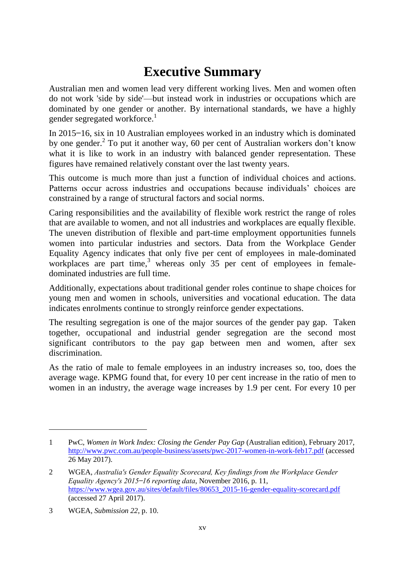## **Executive Summary**

Australian men and women lead very different working lives. Men and women often do not work 'side by side'—but instead work in industries or occupations which are dominated by one gender or another. By international standards, we have a highly gender segregated workforce.<sup>1</sup>

In 2015–16, six in 10 Australian employees worked in an industry which is dominated by one gender.<sup>2</sup> To put it another way, 60 per cent of Australian workers don't know what it is like to work in an industry with balanced gender representation. These figures have remained relatively constant over the last twenty years.

This outcome is much more than just a function of individual choices and actions. Patterns occur across industries and occupations because individuals' choices are constrained by a range of structural factors and social norms.

Caring responsibilities and the availability of flexible work restrict the range of roles that are available to women, and not all industries and workplaces are equally flexible. The uneven distribution of flexible and part-time employment opportunities funnels women into particular industries and sectors. Data from the Workplace Gender Equality Agency indicates that only five per cent of employees in male-dominated workplaces are part time,<sup>3</sup> whereas only 35 per cent of employees in femaledominated industries are full time.

Additionally, expectations about traditional gender roles continue to shape choices for young men and women in schools, universities and vocational education. The data indicates enrolments continue to strongly reinforce gender expectations.

The resulting segregation is one of the major sources of the gender pay gap. Taken together, occupational and industrial gender segregation are the second most significant contributors to the pay gap between men and women, after sex discrimination.

As the ratio of male to female employees in an industry increases so, too, does the average wage. KPMG found that, for every 10 per cent increase in the ratio of men to women in an industry, the average wage increases by 1.9 per cent. For every 10 per

 $\overline{a}$ 

<sup>1</sup> PwC, *Women in Work Index: Closing the Gender Pay Gap* (Australian edition), February 2017, <http://www.pwc.com.au/people-business/assets/pwc-2017-women-in-work-feb17.pdf> (accessed 26 May 2017).

<sup>2</sup> WGEA, *Australia's Gender Equality Scorecard, Key findings from the Workplace Gender Equality Agency's 2015 ̶ 16 reporting data*, November 2016, p. 11, [https://www.wgea.gov.au/sites/default/files/80653\\_2015-16-gender-equality-scorecard.pdf](https://www.wgea.gov.au/sites/default/files/80653_2015-16-gender-equality-scorecard.pdf) (accessed 27 April 2017).

<sup>3</sup> WGEA, *Submission 22*, p. 10.